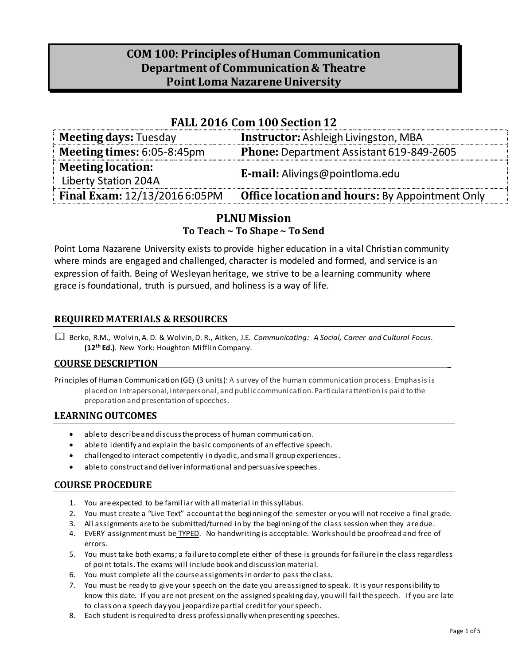# **COM 100: Principles of Human Communication Department of Communication & Theatre Point Loma Nazarene University**

### **FALL 2016 Com 100 Section 12**

| <b>Meeting days: Tuesday</b>                     | <b>Instructor:</b> Ashleigh Livingston, MBA           |
|--------------------------------------------------|-------------------------------------------------------|
| Meeting times: $6:05-8:45$ pm                    | Phone: Department Assistant 619-849-2605              |
| <b>Meeting location:</b><br>Liberty Station 204A | <b>E-mail:</b> Alivings@pointloma.edu                 |
| Final Exam: 12/13/20166:05PM                     | <b>Office location and hours: By Appointment Only</b> |

### **PLNU Mission To Teach ~ To Shape ~ To Send**

Point Loma Nazarene University exists to provide higher education in a vital Christian community where minds are engaged and challenged, character is modeled and formed, and service is an expression of faith. Being of Wesleyan heritage, we strive to be a learning community where grace is foundational, truth is pursued, and holiness is a way of life.

### **REQUIRED MATERIALS & RESOURCES**

 Berko, R.M., Wolvin, A. D. & Wolvin, D. R., Aitken, J.E. *Communicating: A Social, Career and Cultural Focus.*  **(12 th Ed.)**. New York: Houghton Mifflin Company.

#### **COURSE DESCRIPTION \_**

Principles of Human Communication (GE) (3 units): A survey of the human communication process. Emphasis is placed on intrapersonal, interpersonal, and public communication. Particular attention is paid to the preparation and presentation of speeches.

### **LEARNING OUTCOMES**

- able to describe and discuss the process of human communication.
- able to identify and explain the basic components of an effective speech.
- challenged to interact competently in dyadic, and small group experiences.
- able to construct and deliver informational and persuasive speeches.

#### **COURSE PROCEDURE**

- 1. You are expected to be familiar with all material in this syllabus.
- 2. You must create a "Live Text" account at the beginning of the semester or you will not receive a final grade.
- 3. All assignments are to be submitted/turned in by the beginning of the class session when they are due.
- 4. EVERY assignment must be TYPED. No handwriting is acceptable. Work should be proofread and free of errors.
- 5. You must take both exams; a failure to complete either of these is grounds for failure in the class regardless of point totals. The exams will include book and discussion material.
- 6. You must complete all the course assignments in order to pass the class.
- 7. You must be ready to give your speech on the date you are assigned to speak. It is your responsibility to know this date. If you are not present on the assigned speaking day, you will fail the speech. If you are late to class on a speech day you jeopardize partial credit for your speech.
- 8. Each student is required to dress professionally when presenting speeches.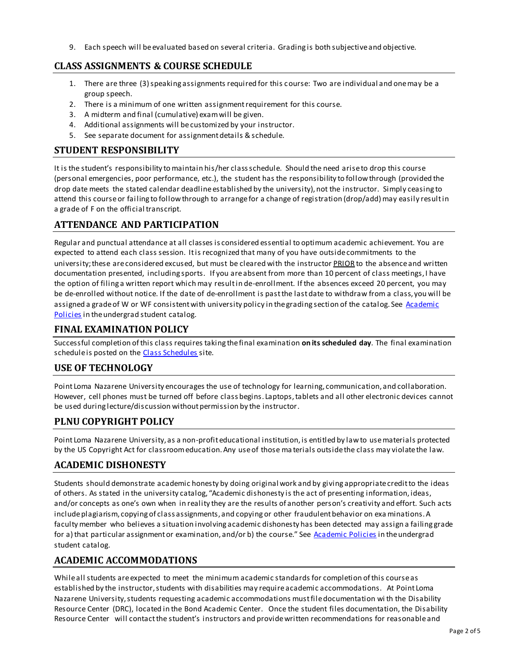9. Each speech will be evaluated based on several criteria. Grading is both subjective and objective.

### **CLASS ASSIGNMENTS & COURSE SCHEDULE**

- 1. There are three (3) speaking assignments required for this course: Two are individual and one may be a group speech.
- 2. There is a minimum of one written assignment requirement for this course.
- 3. A midterm and final (cumulative) exam will be given.
- 4. Additional assignments will be customized by your instructor.
- 5. See separate document for assignment details & schedule.

#### **STUDENT RESPONSIBILITY**

It is the student's responsibility to maintain his/her class schedule. Should the need arise to drop this course (personal emergencies, poor performance, etc.), the student has the responsibility to follow through (provided the drop date meets the stated calendar deadline established by the university), not the instructor. Simply ceasing to attend this course or failing to follow through to arrange for a change of registration (drop/add) may easily result in a grade of F on the official transcript.

## **ATTENDANCE AND PARTICIPATION**

Regular and punctual attendance at all classes is considered essential to optimum academic achievement. You are expected to attend each class session. It is recognized that many of you have outside commitments to the university; these are considered excused, but must be cleared with the instructor PRIOR to the absence and written documentation presented, including sports. If you are absent from more than 10 percent of class meetings, I have the option of filing a written report which may result in de-enrollment. If the absences exceed 20 percent, you may be de-enrolled without notice. If the date of de-enrollment is past the last date to withdraw from a class, you will be assigned a grade of W or WF consistent with university policy in the grading section of the catalog. See Academic [Policies](http://www.pointloma.edu/experience/academics/catalogs/undergraduate-catalog/point-loma-education/academic-policies) in the undergrad student catalog.

### **FINAL EXAMINATION POLICY**

Successful completion of this class requires taking the final examination **on its scheduled day**. The final examination schedule is posted on the [Class Schedules](http://www.pointloma.edu/experience/academics/class-schedules) site.

### **USE OF TECHNOLOGY**

Point Loma Nazarene University encourages the use of technology for learning, communication, and collaboration. However, cell phones must be turned off before class begins. Laptops, tablets and all other electronic devices cannot be used during lecture/discussion without permission by the instructor.

### **PLNU COPYRIGHT POLICY**

Point Loma Nazarene University, as a non-profit educational institution, is entitled by law to use materials protected by the US Copyright Act for classroom education. Any use of those ma terials outside the class may violate the law.

## **ACADEMIC DISHONESTY**

Students should demonstrate academic honesty by doing original work and by giving appropriate credit to the ideas of others. As stated in the university catalog, "Academic dishonesty is the act of presenting information, ideas, and/or concepts as one's own when in reality they are the results of another person's creativity and effort. Such acts include plagiarism, copying of class assignments, and copying or other fraudulent behavior on exa minations. A faculty member who believes a situation involving academic dishonesty has been detected may assign a failing grade for a) that particular assignment or examination, and/or b) the course." See [Academic Policies](http://www.pointloma.edu/experience/academics/catalogs/undergraduate-catalog/point-loma-education/academic-policies) in the undergrad student catalog.

### **ACADEMIC ACCOMMODATIONS**

While all students are expected to meet the minimum academic standards for completion of this course as established by the instructor, students with disabilities may require academic accommodations. At Point Loma Nazarene University, students requesting academic accommodations must file documentation wi th the Disability Resource Center (DRC), located in the Bond Academic Center. Once the student files documentation, the Disability Resource Center will contact the student's instructors and provide written recommendations for reasonable and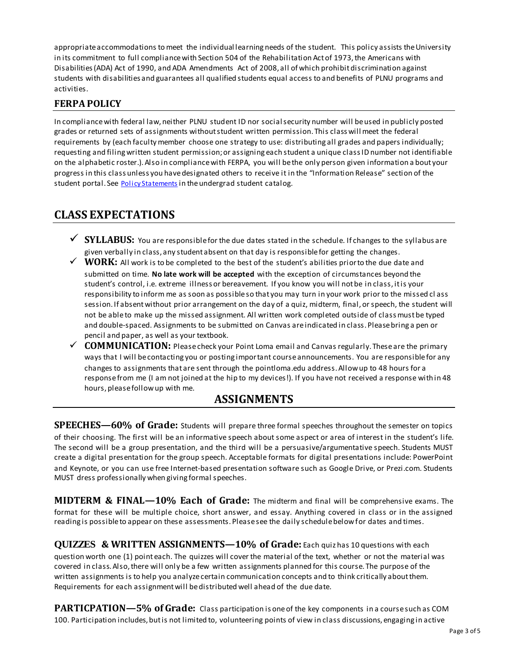appropriate accommodations to meet the individual learning needs of the student. This policy assists the University in its commitment to full compliance with Section 504 of the Rehabilitation Act of 1973, the Americans with Disabilities (ADA) Act of 1990, and ADA Amendments Act of 2008, all of which prohibit discrimination against students with disabilities and guarantees all qualified students equal access to and benefits of PLNU programs and activities.

## **FERPA POLICY**

In compliance with federal law, neither PLNU student ID nor social security number will be used in publicly posted grades or returned sets of assignments without student written permission. This class will meet the federal requirements by (each faculty member choose one strategy to use: distributing all grades and papers individually; requesting and filing written student permission; or assigning each student a unique class ID number not identifiable on the alphabetic roster.). Also in compliance with FERPA, you will be the only person given information a bout your progress in this class unless you have designated others to receive it in the "Information Release" section of the student portal. See **[Policy Statements](http://www.pointloma.edu/experience/academics/catalogs/undergraduate-catalog/policy-statements)** in the undergrad student catalog.

## **CLASS EXPECTATIONS**

- ◆ SYLLABUS: You are responsible for the due dates stated in the schedule. If changes to the syllabus are given verbally in class, any student absent on that day is responsible for getting the changes.
- $\checkmark$  WORK: All work is to be completed to the best of the student's abilities prior to the due date and submitted on time. **No late work will be accepted** with the exception of circumstances beyond the student's control, i.e. extreme illness or bereavement. If you know you will not be in class, it is your responsibility to inform me as soon as possible so that you may turn in your work prior to the missed cl ass session. If absent without prior arrangement on the day of a quiz, midterm, final, or speech, the student will not be able to make up the missed assignment. All written work completed outside of class must be typed and double-spaced. Assignments to be submitted on Canvas are indicated in class. Please bring a pen or pencil and paper, as well as your textbook.
- $\checkmark$   $\subset$  **COMMUNICATION:** Please check your Point Loma email and Canvas regularly. These are the primary ways that I will be contacting you or posting important course announcements. You are responsible for any changes to assignments that are sent through the pointloma.edu address. Allow up to 48 hours for a response from me (I am not joined at the hip to my devices!). If you have not received a response within 48 hours, please follow up with me.

## **ASSIGNMENTS**

**SPEECHES—60% of Grade:** Students will prepare three formal speeches throughout the semester on topics of their choosing. The first will be an informative speech about some aspect or area of interest in the student's life. The second will be a group presentation, and the third will be a persuasive/argumentative speech. Students MUST create a digital presentation for the group speech. Acceptable formats for digital presentations include: PowerPoint and Keynote, or you can use free Internet-based presentation software such as Google Drive, or Prezi.com. Students MUST dress professionally when giving formal speeches.

**MIDTERM & FINAL—10% Each of Grade:** The midterm and final will be comprehensive exams. The format for these will be multiple choice, short answer, and essay. Anything covered in class or in the assigned reading is possible to appear on these assessments. Please see the daily schedule below for dates and times.

**QUIZZES & WRITTEN ASSIGNMENTS—10% of Grade:** Each quiz has 10 questions with each question worth one (1) point each. The quizzes will cover the material of the text, whether or not the material was covered in class. Also, there will only be a few written assignments planned for this course. The purpose of the written assignments is to help you analyze certain communication concepts and to think critically about them. Requirements for each assignment will be distributed well ahead of the due date.

**PARTICPATION—5% of Grade:** Class participation is one of the key components in a course such as COM 100. Participation includes, but is not limited to, volunteering points of view in class discussions, engaging in active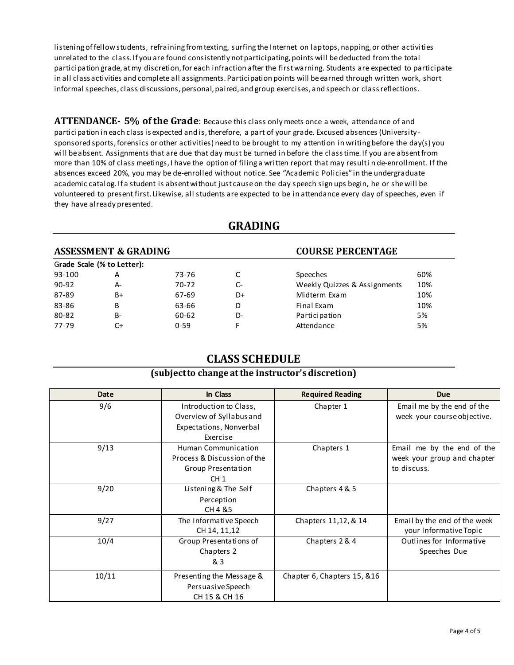listening of fellow students, refraining from texting, surfing the Internet on laptops, napping, or other activities unrelated to the class. If you are found consistently not participating, points will be deducted from the total participation grade, at my discretion, for each infraction after the first warning. Students are expected to participate in all class activities and complete all assignments. Participation points will be earned through written work, short informal speeches, class discussions, personal, paired, and group exercises, and speech or class reflections.

**ATTENDANCE- 5% of the Grade**: Because this class only meets once a week, attendance of and participation in each class is expected and is, therefore, a part of your grade. Excused absences (University sponsored sports, forensics or other activities) need to be brought to my attention in writing before the day(s) you will be absent. Assignments that are due that day must be turned in before the class time. If you are absent from more than 10% of class meetings, I have the option of filing a written report that may result i n de-enrollment. If the absences exceed 20%, you may be de-enrolled without notice. See "Academic Policies" in the undergraduate academic catalog. If a student is absent without just cause on the day speech sign ups begin, he or she will be volunteered to present first. Likewise, all students are expected to be in attendance every day of speeches, even if they have already presented.

| GRADING                         |                            |          |      |                              |     |  |  |
|---------------------------------|----------------------------|----------|------|------------------------------|-----|--|--|
| <b>ASSESSMENT &amp; GRADING</b> |                            |          |      | <b>COURSE PERCENTAGE</b>     |     |  |  |
|                                 | Grade Scale (% to Letter): |          |      |                              |     |  |  |
| 93-100                          | Α                          | 73-76    |      | <b>Speeches</b>              | 60% |  |  |
| 90-92                           | A-                         | 70-72    | $C-$ | Weekly Quizzes & Assignments | 10% |  |  |
| 87-89                           | B+                         | 67-69    | D+   | Midterm Exam                 | 10% |  |  |
| 83-86                           | B                          | 63-66    | D    | Final Exam                   | 10% |  |  |
| 80-82                           | $B -$                      | 60-62    | D-   | Participation                | 5%  |  |  |
| 77-79                           | C+                         | $0 - 59$ | F    | Attendance                   | 5%  |  |  |
|                                 |                            |          |      |                              |     |  |  |

## **GRADING**

## **CLASS SCHEDULE**

#### **(subject to change at the instructor's discretion)**

| Date  | In Class                                                                                    | <b>Required Reading</b>     | <b>Due</b>                                                               |
|-------|---------------------------------------------------------------------------------------------|-----------------------------|--------------------------------------------------------------------------|
| 9/6   | Introduction to Class,<br>Overview of Syllabus and<br>Expectations, Nonverbal<br>Exercise   | Chapter 1                   | Email me by the end of the<br>week your course objective.                |
| 9/13  | Human Communication<br>Process & Discussion of the<br>Group Presentation<br>CH <sub>1</sub> | Chapters 1                  | Email me by the end of the<br>week your group and chapter<br>to discuss. |
| 9/20  | Listening & The Self<br>Perception<br>CH 4 & 5                                              | Chapters 4 & 5              |                                                                          |
| 9/27  | The Informative Speech<br>CH 14, 11, 12                                                     | Chapters 11,12, & 14        | Email by the end of the week<br>your Informative Topic                   |
| 10/4  | Group Presentations of<br>Chapters 2<br>& 3                                                 | Chapters 2 & 4              | Outlines for Informative<br>Speeches Due                                 |
| 10/11 | Presenting the Message &<br>Persuasive Speech<br>CH 15 & CH 16                              | Chapter 6, Chapters 15, &16 |                                                                          |